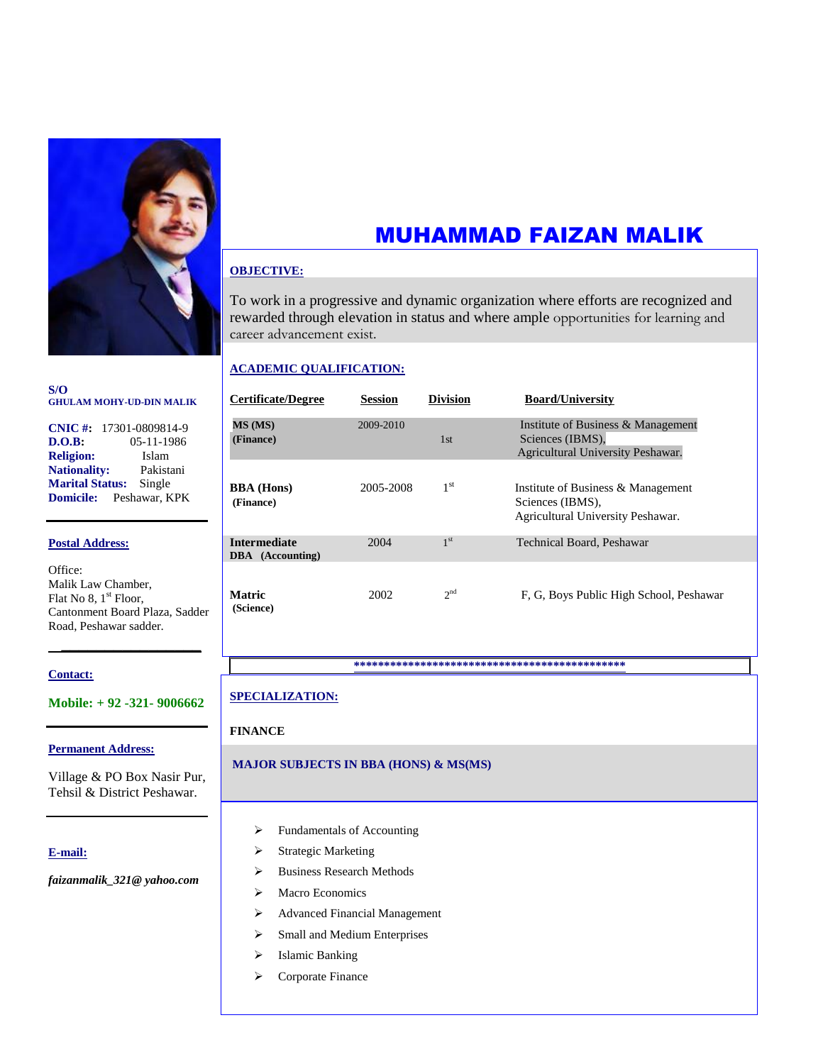

#### **S/O GHULAM MOHY-UD-DIN MALIK**

|                        | CNIC #: $17301 - 0809814 - 9$  |
|------------------------|--------------------------------|
| $\bf{D.O.B:}$          | 05-11-1986                     |
| <b>Religion:</b>       | Islam                          |
| <b>Nationality:</b>    | Pakistani                      |
| <b>Marital Status:</b> | Single                         |
|                        | <b>Domicile:</b> Peshawar, KPK |

#### **Postal Address:**

Office: Malik Law Chamber, Flat No 8, 1<sup>st</sup> Floor, Cantonment Board Plaza, Sadder Road, Peshawar sadder.

#### **Contact:**

**Mobile: + 92 -321- 9006662**

 **\_\_\_\_\_\_\_\_\_\_\_\_\_\_\_\_**

#### **Permanent Address:**

Village & PO Box Nasir Pur, Tehsil & District Peshawar.

#### **E-mail:**

*faizanmalik\_321@ yahoo.com*

# MUHAMMAD FAIZAN MALIK

#### **OBJECTIVE:**

To work in a progressive and dynamic organization where efforts are recognized and rewarded through elevation in status and where ample opportunities for learning and career advancement exist.

#### **ACADEMIC QUALIFICATION:**

| <b>Certificate/Degree</b>               | <b>Session</b> | <b>Division</b> | <b>Board/University</b>                                                                     |
|-----------------------------------------|----------------|-----------------|---------------------------------------------------------------------------------------------|
| MS (MS)<br>(Finance)                    | 2009-2010      | 1st             | Institute of Business & Management<br>Sciences (IBMS),<br>Agricultural University Peshawar. |
| <b>BBA</b> (Hons)<br>(Finance)          | 2005-2008      | 1 <sup>st</sup> | Institute of Business & Management<br>Sciences (IBMS),<br>Agricultural University Peshawar. |
| <b>Intermediate</b><br>DBA (Accounting) | 2004           | 1 <sup>st</sup> | Technical Board, Peshawar                                                                   |
| <b>Matric</b><br>(Science)              | 2002           | 2 <sup>nd</sup> | F, G, Boys Public High School, Peshawar                                                     |

**\*\*\*\*\*\*\*\*\*\*\*\*\*\*\*\*\*\*\*\*\*\*\*\*\*\*\*\*\*\*\*\*\*\*\*\*\*\*\*\*\*\*\*\*\***

### **SPECIALIZATION:**

#### **FINANCE**

#### **MAJOR SUBJECTS IN BBA (HONS) & MS(MS)**

- > Fundamentals of Accounting
- > Strategic Marketing
- > Business Research Methods
- > Macro Economics
- Advanced Financial Management
- $\triangleright$  Small and Medium Enterprises
- > Islamic Banking
- > Corporate Finance